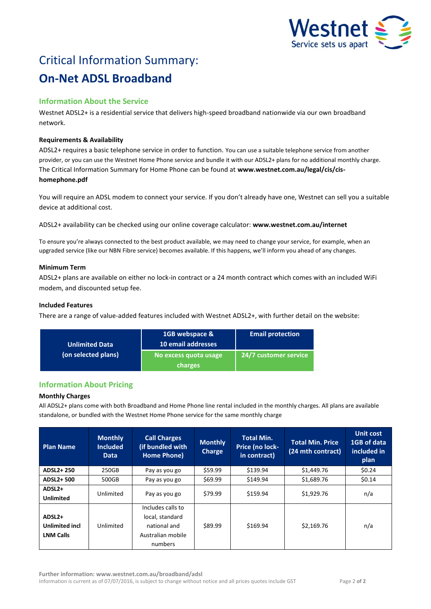

# Critical Information Summary: **On-Net ADSL Broadband**

# **Information About the Service**

Westnet ADSL2+ is a residential service that delivers high-speed broadband nationwide via our own broadband network.

# **Requirements & Availability**

ADSL2+ requires a basic telephone service in order to function. You can use a suitable telephone service from another provider, or you can use the Westnet Home Phone service and bundle it with our ADSL2+ plans for no additional monthly charge. The Critical Information Summary for Home Phone can be found at **www.westnet.com.au/legal/cis/cishomephone.pdf**

You will require an ADSL modem to connect your service. If you don't already have one, Westnet can sell you a suitable device at additional cost.

ADSL2+ availability can be checked using our online coverage calculator: **www.westnet.com.au/internet**

To ensure you're always connected to the best product available, we may need to change your service, for example, when an upgraded service (like our NBN Fibre service) becomes available. If this happens, we'll inform you ahead of any changes.

# **Minimum Term**

ADSL2+ plans are available on either no lock-in contract or a 24 month contract which comes with an included WiFi modem, and discounted setup fee.

# **Included Features**

There are a range of value-added features included with Westnet ADSL2+, with further detail on the website:

| <b>Unlimited Data</b><br>(on selected plans) | 1GB webspace &<br>10 email addresses | <b>Email protection</b> |  |
|----------------------------------------------|--------------------------------------|-------------------------|--|
|                                              | No excess quota usage<br>charges     | 24/7 customer service   |  |

# **Information About Pricing**

# **Monthly Charges**

All ADSL2+ plans come with both Broadband and Home Phone line rental included in the monthly charges. All plans are available standalone, or bundled with the Westnet Home Phone service for the same monthly charge

| <b>Plan Name</b>                                                | <b>Monthly</b><br><b>Included</b><br><b>Data</b> | <b>Call Charges</b><br>(if bundled with<br>Home Phone)                               | <b>Monthly</b><br><b>Charge</b> | <b>Total Min.</b><br>Price (no lock-<br>in contract) | <b>Total Min. Price</b><br>(24 mth contract) | <b>Unit cost</b><br>1GB of data<br>included in<br>plan |
|-----------------------------------------------------------------|--------------------------------------------------|--------------------------------------------------------------------------------------|---------------------------------|------------------------------------------------------|----------------------------------------------|--------------------------------------------------------|
| ADSL2+250                                                       | 250GB                                            | Pay as you go                                                                        | \$59.99                         | \$139.94                                             | \$1,449.76                                   | \$0.24                                                 |
| ADSL2+500                                                       | 500GB                                            | Pay as you go                                                                        | \$69.99                         | \$149.94                                             | \$1,689.76                                   | \$0.14                                                 |
| ADSL <sub>2+</sub><br><b>Unlimited</b>                          | Unlimited                                        | Pay as you go                                                                        | \$79.99                         | \$159.94                                             | \$1,929.76                                   | n/a                                                    |
| ADSL <sub>2+</sub><br><b>Unlimited incl</b><br><b>LNM Calls</b> | Unlimited                                        | Includes calls to<br>local, standard<br>national and<br>Australian mobile<br>numbers | \$89.99                         | \$169.94                                             | \$2,169.76                                   | n/a                                                    |